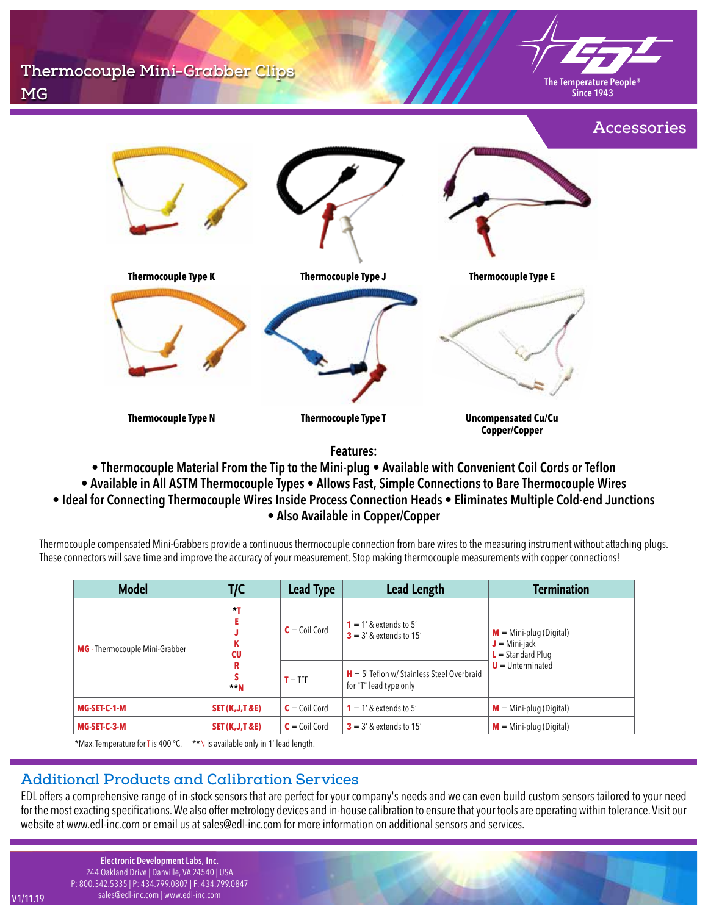**Thermocouple Mini-Grabber Clips MG**



**Since 1943**



**Features:**

- **Thermocouple Material From the Tip to the Mini-plug Available with Convenient Coil Cords or Teflon**
- **Available in All ASTM Thermocouple Types Allows Fast, Simple Connections to Bare Thermocouple Wires**
- **Ideal for Connecting Thermocouple Wires Inside Process Connection Heads Eliminates Multiple Cold-end Junctions**

**• Also Available in Copper/Copper**

Thermocouple compensated Mini-Grabbers provide a continuous thermocouple connection from bare wires to the measuring instrument without attaching plugs. These connectors will save time and improve the accuracy of your measurement. Stop making thermocouple measurements with copper connections!

| <b>Model</b>                             | T/C                                      | <b>Lead Type</b> | <b>Lead Length</b>                                                     | <b>Termination</b>                                                                          |
|------------------------------------------|------------------------------------------|------------------|------------------------------------------------------------------------|---------------------------------------------------------------------------------------------|
| <b>MG</b> - Thermocouple Mini-Grabber    | $*$ T<br>CU                              | $C =$ Coil Cord  | $1 = 1'$ & extends to 5'<br>$3 = 3'$ & extends to 15'                  | $M = Mini$ -plug (Digital)<br>$J = Mini$ -jack<br>$L =$ Standard Plug<br>$U =$ Unterminated |
|                                          | R<br>$- N$                               | $T = TFE$        | $H = 5'$ Teflon w/ Stainless Steel Overbraid<br>for "T" lead type only |                                                                                             |
| MG-SET-C-1-M                             | <b>SET (K, J, T &amp; E)</b>             | $C =$ Coil Cord  | $1 = 1'$ & extends to 5'                                               | $M = Mini$ -plug (Digital)                                                                  |
| MG-SET-C-3-M                             | <b>SET (K, J, T &amp; E)</b>             | $C =$ Coil Cord  | $3 = 3'$ & extends to 15'                                              | $M = Mini$ -plug (Digital)                                                                  |
| $*M_{21}$ Tamparatura for $T$ is $400.9$ | ttM is qualified antuin 1' load long the |                  |                                                                        |                                                                                             |

Max. Temperature for T is 400 °C.  $*N$  is available only in 1' lead length.

## **Additional Products and Calibration Services**

EDL offers a comprehensive range of in-stock sensors that are perfect for your company's needs and we can even build custom sensors tailored to your need for the most exacting specifications. We also offer metrology devices and in-house calibration to ensure that your tools are operating within tolerance. Visit our website at www.edl-inc.com or email us at sales@edl-inc.com for more information on additional sensors and services.

**Electronic Development Labs, Inc.** 244 Oakland Drive | Danville, VA 24540 | USA P: 800.342.5335 | P: 434.799.0807 | F: 434.799.0847 sales@edl-inc.com | www.edl-inc.com